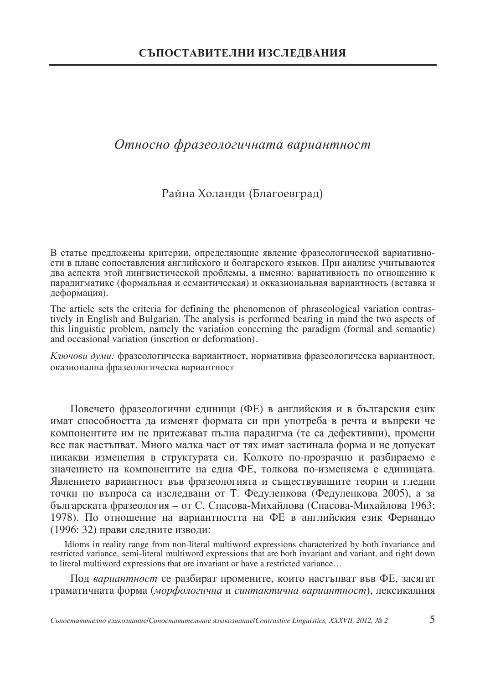# Относно фразеологичната вариантност

#### Райна Холанди (Благоевград)

В статье предложены критерии, определяющие явление фразеологической вариативности в плане сопоставления английского и болгарского языков. При анализе учитываются два аспекта этой лингвистической проблемы, а именно: вариативность по отношению к паралигматике (формальная и семантическая) и окказиональная вариантность (вставка и деформация).

The article sets the criteria for defining the phenomenon of phraseological variation contrastively in English and Bulgarian. The analysis is performed bearing in mind the two aspects of this linguistic problem, namely the variation concerning the paradigm (formal and semantic) and occasional variation (insertion or deformation).

Ключови думи: фразеологическа вариантност, нормативна фразеологическа вариантност, оказионална фразеологическа вариантност

Повечето фразеологични единици (ФЕ) в английския и в българския език имат способността да изменят формата си при употреба в речта и въпреки че компонентите им не притежават пълна парадигма (те са дефективни), промени все пак настыпват. Много малка част от тях имат застинала форма и не допускат никакви изменения в структурата си. Колкото по-прозрачно и разбираемо е значението на компонентите на една ФЕ, толкова по-изменяема е единицата. Явлението вариантност във фразеологията и съществуващите теории и гледни точки по въпроса са изследвани от Т. Федуленкова (Федуленкова 2005), а за българската фразеология - от С. Спасова-Михайлова (Спасова-Михайлова 1963; 1978). По отношение на вариантността на ФЕ в английския език Фернандо (1996: 32) прави следните изводи:

Idioms in reality range from non-literal multiword expressions characterized by both invariance and restricted variance, semi-literal multiword expressions that are both invariant and variant, and right down to literal multiword expressions that are invariant or have a restricted variance...

Под вариантност се разбират промените, които настъпват във ФЕ, засягат граматичната форма (морфологична и синтактична вариантност), лексикалния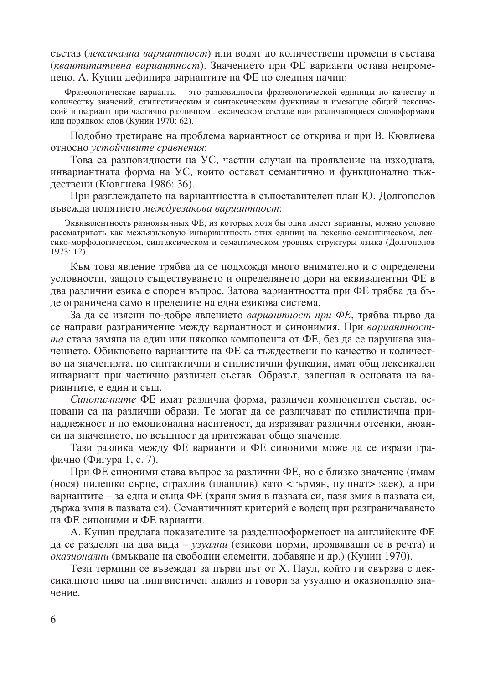състав (лексикална вариантност) или водят до количествени промени в състава (квантитативна вариантност). Значението при ФЕ варианти остава непроменено. А. Кунин дефинира вариантите на ФЕ по следния начин:

Фразеологические варианты - это разновидности фразеологической единицы по качеству и количеству значений, стилистическим и синтаксическим функциям и имеющие общий лексический инвариант при частично различном лексическом составе или различающиеся словоформами или порядком слов (Кунин 1970: 62).

Подобно третиране на проблема вариантност се открива и при В. Кювлиева относно устойчивите сравнения:

Това са разновидности на УС, частни случаи на проявление на изходната, инвариантната форма на УС, които остават семантично и функционално тъждествени (Кювлиева 1986: 36).

При разглеждането на вариантността в съпоставителен план Ю. Долгополов въвежда понятието междуезикова вариантност:

Эквивалентность разноязычных ФЕ, из которых хотя бы одна имеет варианты, можно условно рассматривать как межъязыковую инвариантность этих единиц на лексико-семантическом, лексико-морфологическом, синтаксическом и семантическом уровнях структуры языка (Долгополов 1973: 12).

Към това явление трябва да се подхожда много внимателно и с определени условности, защото съществуването и определянето дори на еквивалентни ФЕ в два различни езика е спорен въпрос. Затова вариантността при ФЕ трябва да бъде ограничена само в пределите на една езикова система.

За да се изясни по-добре явлението вариантност при ФЕ, трябва първо да се направи разграничение между вариантност и синонимия. При вариантността става замяна на един или няколко компонента от ФЕ, без да се нарушава значението. Обикновено вариантите на ФЕ са тъждествени по качество и количество на значенията, по синтактични и стилистични функции, имат общ лексикален инвариант при частично различен състав. Образът, залегнал в основата на вариантите, е един и същ.

Синонимните ФЕ имат различна форма, различен компонентен състав, основани са на различни образи. Те могат да се различават по стилистична принадлежност и по емоционална наситеност, да изразяват различни отсенки, нюанси на значението, но всъщност да притежават общо значение.

Тази разлика между ФЕ варианти и ФЕ синоними може да се изрази графично (Фигура 1, с. 7).

При ФЕ синоними става въпрос за различни ФЕ, но с близко значение (имам (нося) пилешко сърце, страхлив (плашлив) като <гърмян, пушнат> заек), а при вариантите - за една и съща ФЕ (храня змия в пазвата си, пазя змия в пазвата си, държа змия в пазвата си). Семантичният критерий е водещ при разграничаването на ФЕ синоними и ФЕ варианти.

А. Кунин предлага показателите за разделнооформеност на английските ФЕ да се разделят на два вида – узуални (езикови норми, проявяващи се в речта) и оказионални (вмъкване на свободни елементи, добавяне и др.) (Кунин 1970).

Тези термини се въвеждат за първи път от Х. Паул, който ги свързва с лексикалното ниво на лингвистичен анализ и говори за узуално и оказионално значение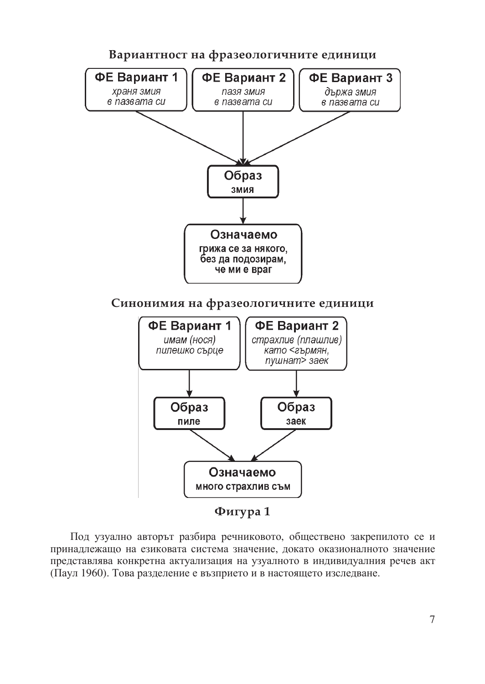

Под узуално авторът разбира речниковото, обществено закрепилото се и принадлежащо на езиковата система значение, докато оказионалното значение представлява конкретна актуализация на узуалното в индивидуалния речев акт (Паул 1960). Това разделение е възприето и в настоящето изследване.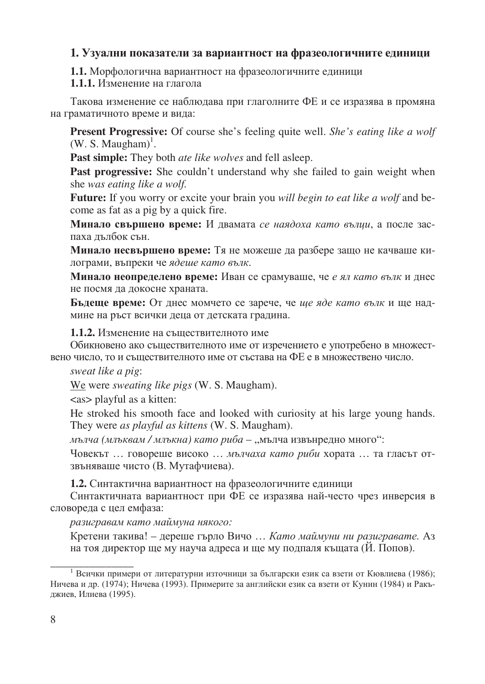## 1. Узуални показатели за вариантност на фразеологичните единици

### **1.1.** Морфологична вариантност на фразеологичните единици

### **1.1.1.** Изменение на глагола

Такова изменение се наблюдава при глаголните ФЕ и се изразява в промяна на граматичното време и вида:

**Present Progressive:** Of course she's feeling quite well. *She's eating like a wolf*  $(W. S. Maugham)^{1}$ .

**Past simple:** They both *ate like wolves* and fell asleep.

**Past progressive:** She couldn't understand why she failed to gain weight when she *was eating like a wolf.* 

**Future:** If you worry or excite your brain you *will begin to eat like a wolf* and become as fat as a pig by a quick fire.

**Минало свършено време:** И двамата *се наядоха като вълци*, а после заспаха дълбок сън.

**Минало несвършено време:** Тя не можеше да разбере защо не качваше килограми, въпреки че ядеше като вълк.

**Минало неопределено време:** Иван се срамуваше, че *е ял като вълк* и днес не посмя да докосне храната.

**Бъдеще време:** От днес момчето се зарече, че *ще яде като вълк* и ще надмине на ръст всички деца от детската градина.

**1.1.2.** Изменение на съществителното име

Обикновено ако съществителното име от изречението е употребено в множествено число, то и съществителното име от състава на ФЕ е в множествено число.

*sweat like a pig*:

\_\_\_\_\_\_\_\_\_\_\_\_\_\_\_

We were *sweating like pigs* (W. S. Maugham).

<as> playful as a kitten:

He stroked his smooth face and looked with curiosity at his large young hands. They were *as playful as kittens* (W. S. Maugham).

*мълча (млъквам / млъкна) като риба* – "мълча извънредно много":

Човекът ... говореше високо ... мълчаха като риби хората ... та гласът отзвъняваше чисто (В. Мутафчиева).

**1.2.** Синтактична вариантност на фразеологичните единици

Синтактичната вариантност при ФЕ се изразява най-често чрез инверсия в словореда с цел емфаза:

## разигравам като маймуна някого:

Кретени такива! – дереше гърло Вичо ... *Като маймуни ни разигравате*. Аз на тоя директор ще му науча адреса и ще му подпаля къщата (Й. Попов).

<sup>&</sup>lt;sup>1</sup> Всички примери от литературни източници за български език са взети от Кювлиева (1986); Ничева и др. (1974); Ничева (1993). Примерите за английски език са взети от Кунин (1984) и Ракъджиев, Илиева (1995).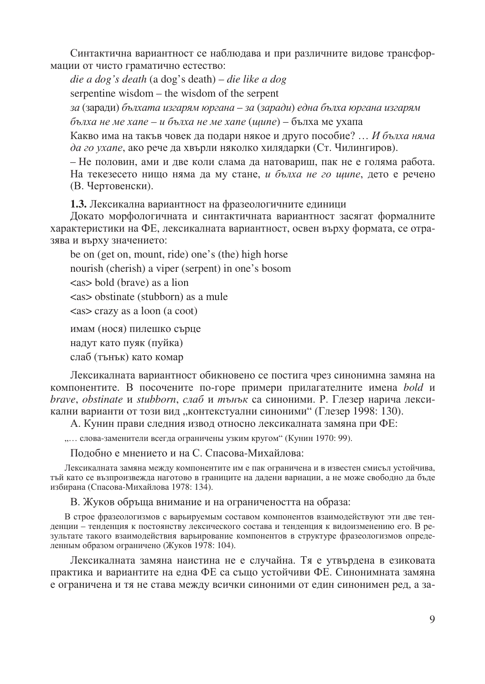Синтактична вариантност се наблюдава и при различните видове трансформации от чисто граматично естество:

die a dog's death (a dog's death) – die like a dog serpentine wisdom – the wisdom of the serpent за (заради) бълхата изгарям юргана – за (заради) една бълха юргана изгарям бълха не ме хапе – и бълха не ме хапе (щипе) – бълха ме ухапа

Какво има на такъв човек да подари някое и друго пособие? ... И бълха няма да го ухапе, ако рече да хвърли няколко хилядарки (Ст. Чилингиров).

– Не половин, ами и две коли слама да натовариш, пак не е голяма работа. На текезесето нищо няма да му стане, и бълха не го шипе, дето е речено (В. Чертовенски).

1.3. Лексикална вариантност на фразеологичните единици

Докато морфологичната и синтактичната вариантност засягат формалните характеристики на ФЕ, лексикалната вариантност, освен върху формата, се отразява и върху значението:

be on (get on, mount, ride) one's (the) high horse nourish (cherish) a viper (serpent) in one's bosom  $\langle$ as > bold (brave) as a lion <as> obstinate (stubborn) as a mule <as> crazy as a loon (a coot) имам (нося) пилешко сърце

надут като пуяк (пуйка) слаб (тънък) като комар

Лексикалната вариантност обикновено се постига чрез синонимна замяна на компонентите. В посочените по-горе примери прилагателните имена bold и brave, obstinate и stubborn, слаб и тънък са синоними. Р. Глезер нарича лексикални варианти от този вид "контекстуални синоними" (Глезер 1998: 130).

А. Кунин прави следния извод относно лексикалната замяна при ФЕ:

"... слова-заменители всегда ограничены узким кругом" (Кунин 1970: 99).

Подобно е мнението и на С. Спасова-Михайлова:

Лексикалната замяна между компонентите им е пак ограничена и в известен смисъл устойчива, тъй като се възпроизвежда наготово в границите на дадени вариации, а не може свободно да бъде избирана (Спасова-Михайлова 1978: 134).

В. Жуков обръща внимание и на ограничеността на образа:

В строе фразеологизмов с варьируемым составом компонентов взаимодействуют эти две тенденции - тенденция к постоянству лексического состава и тенденция к видоизменению его. В результате такого взаимодействия варьирование компонентов в структуре фразеологизмов определенным образом ограничено (Жуков 1978: 104).

Лексикалната замяна наистина не е случайна. Тя е утвърдена в езиковата практика и вариантите на една ФЕ са също устойчиви ФЕ. Синонимната замяна е ограничена и тя не става между всички синоними от един синонимен ред, а за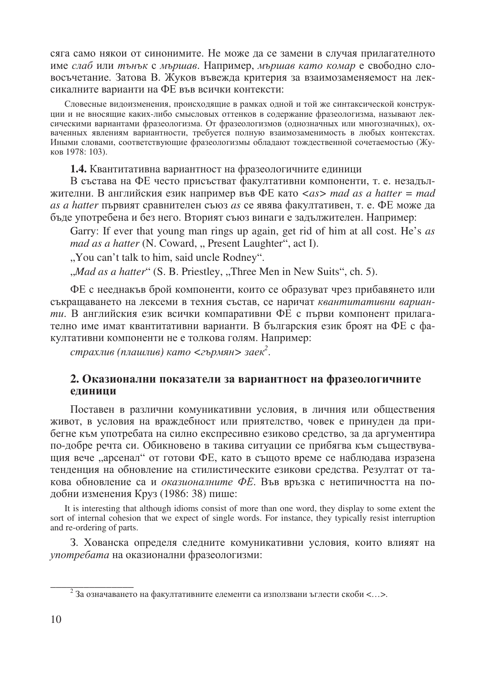сяга само някои от синонимите. Не може да се замени в случая прилагателното име слаб или тънък с мършав. Например, мършав като комар е свободно словосъчетание. Затова В. Жуков въвежда критерия за взаимозаменяемост на лексикалните варианти на ФЕ във всички контексти:

Словесные видоизменения, происходящие в рамках одной и той же синтаксической конструкции и не вносящие каких-либо смысловых оттенков в содержание фразеологизма, называют лексическими вариантами фразеологизма. От фразеологизмов (однозначных или многозначных), охваченных явлениям вариантности, требуется полную взаимозаменимость в любых контекстах. Иными словами, соответствующие фразеологизмы обладают тождественной сочетаемостью (Жуков 1978: 103).

1.4. Квантитативна вариантност на фразеологичните единици

В състава на ФЕ често присъстват факултативни компоненти, т. е. незадължителни. В английския език например във ФЕ като  $\langle as \rangle$  mad as a hatter = mad as a hatter първият сравнителен съюз as се явява факултативен, т. е. ФЕ може да бъде употребена и без него. Вторият съюз винаги е задължителен. Например:

Garry: If ever that young man rings up again, get rid of him at all cost. He's as *mad as a hatter* (N. Coward, "Present Laughter", act I).

"You can't talk to him, said uncle Rodney".

"Mad as a hatter" (S. B. Priestley, "Three Men in New Suits", ch. 5).

ФЕ с нееднакъв брой компоненти, които се образуват чрез прибавянето или съкращаването на лексеми в техния състав, се наричат квантитативни варианти. В английския език всички компаративни ФЕ с първи компонент прилагателно име имат квантитативни варианти. В българския език броят на ФЕ с факултативни компоненти не е толкова голям. Например:

страхлив (плашлив) като  $\langle$ гърмян $\rangle$ заек $^2$ .

#### 2. Оказионални показатели за вариантност на фразеологичните елиници

Поставен в различни комуникативни условия, в личния или обществения живот, в условия на враждебност или приятелство, човек е принуден да прибегне към употребата на силно експресивно езиково средство, за да аргументира по-добре речта си. Обикновено в такива ситуации се прибягва към съществуващия вече "арсенал" от готови ФЕ, като в същото време се наблюдава изразена тенденция на обновление на стилистическите езикови средства. Резултат от такова обновление са и оказионалните ФЕ. Във връзка с нетипичността на подобни изменения Круз (1986: 38) пише:

It is interesting that although idioms consist of more than one word, they display to some extent the sort of internal cohesion that we expect of single words. For instance, they typically resist interruption and re-ordering of parts.

3. Хованска определя следните комуникативни условия, които влияят на употребата на оказионални фразеологизми:

<sup>&</sup>lt;sup>2</sup> За означаването на факултативните елементи са използвани ъглести скоби <...>.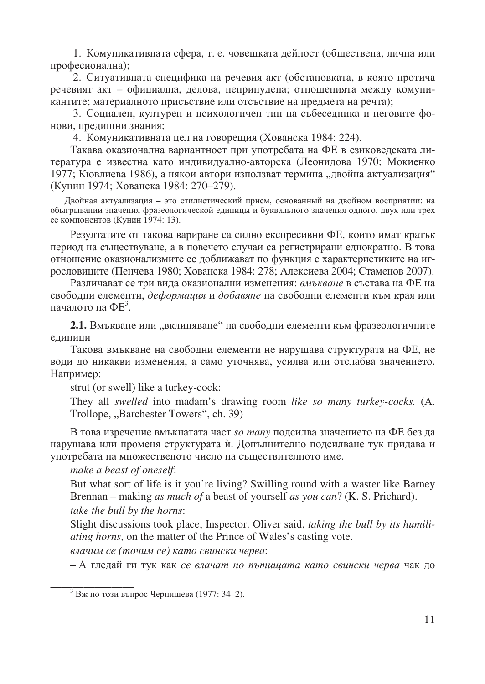1. Комуникативната сфера, т. е. човешката дейност (обществена, лична или професионална);

2. Ситуативната специфика на речевия акт (обстановката, в която протича речевият акт - официална, делова, непринудена; отношенията между комуникантите; материалното присъствие или отсъствие на предмета на речта);

3. Социален, културен и психологичен тип на събеседника и неговите фонови, предишни знания;

4. Комуникативната цел на говорещия (Хованска 1984: 224).

Такава оказионална вариантност при употребата на ФЕ в езиковедската литература е известна като индивидуално-авторска (Леонидова 1970; Мокиенко 1977; Кювлиева 1986), а някои автори използват термина "двойна актуализация" (Кунин 1974; Хованска 1984: 270-279).

Двойная актуализация - это стилистический прием, основанный на двойном восприятии: на обыгрывании значения фразеологической единицы и буквального значения одного, двух или трех ее компонентов (Кунин 1974: 13).

Резултатите от такова вариране са силно експресивни ФЕ, които имат кратък период на съществуване, а в повечето случаи са регистрирани еднократно. В това отношение оказионализмите се доближават по функция с характеристиките на игрословиците (Пенчева 1980; Хованска 1984: 278; Алексиева 2004; Стаменов 2007).

Различават се три вида оказионални изменения: вмъкване в състава на ФЕ на свободни елементи, деформация и добавяне на свободни елементи към края или началото на  $\Phi$  $E^3$ .

2.1. Вмъкване или "вклиняване" на свободни елементи към фразеологичните единици

Такова вмъкване на свободни елементи не нарушава структурата на ФЕ, не води до никакви изменения, а само уточнява, усилва или отслабва значението. Например:

strut (or swell) like a turkey-cock:

They all *swelled* into madam's drawing room *like so many turkey-cocks*. (A. Trollope, "Barchester Towers", ch. 39)

В това изречение вмъкнатата част *so many* подсилва значението на ФЕ без да нарушава или променя структурата и. Допълнително подсилване тук придава и употребата на множественото число на съществителното име.

make a beast of oneself:

But what sort of life is it you're living? Swilling round with a waster like Barney Brennan – making as much of a beast of yourself as you can? (K. S. Prichard). take the bull by the horns:

Slight discussions took place, Inspector. Oliver said, taking the bull by its humili*ating horns*, on the matter of the Prince of Wales's casting vote.

влачим се (точим се) като свински черва:

- А гледай ги тук как се влачат по пътищата като свински черва чак до

<sup>&</sup>lt;sup>3</sup> Вж по този въпрос Чернишева (1977: 34–2).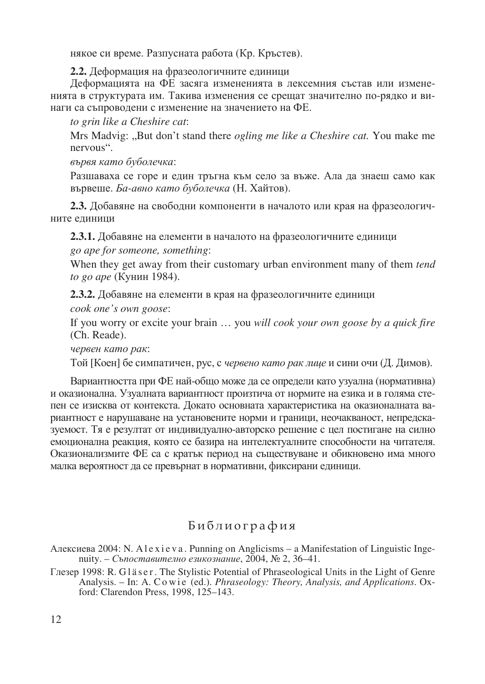някое си време. Разпусната работа (Кр. Кръстев).

2.2. Деформация на фразеологичните единици

Деформацията на ФЕ засяга измененията в лексемния състав или измененията в структурата им. Такива изменения се срещат значително по-рядко и винаги са съпроводени с изменение на значението на ФЕ.

to grin like a Cheshire cat:

Mrs Madvig: "But don't stand there *ogling me like a Cheshire cat*. You make me nervous".

вървя като буболечка:

Разшаваха се горе и един тръгна към село за въже. Ала да знаеш само как вървеше. Ба-авно като буболечка (Н. Хайтов).

2.3. Добавяне на свободни компоненти в началото или края на фразеологичните елиници

2.3.1. Добавяне на елементи в началото на фразеологичните единици

go ape for someone, something:

When they get away from their customary urban environment many of them tend to go ape (Кунин 1984).

2.3.2. Добавяне на елементи в края на фразеологичните единици

cook one's own goose:

If you worry or excite your brain ... you will cook your own goose by a quick fire (Ch. Reade).

червен като рак:

Той [Коен] бе симпатичен, рус, с червено като рак лице и сини очи (Д. Димов).

Вариантността при ФЕ най-общо може да се определи като узуална (нормативна) и оказионална. Узуалната вариантност произтича от нормите на езика и в голяма степен се изисква от контекста. Докато основната характеристика на оказионалната вариантност е нарушаване на установените норми и граници, неочакваност, непредсказуемост. Тя е резултат от индивидуално-авторско решение с цел постигане на силно емоционална реакция, която се базира на интелектуалните способности на читателя. Оказионализмите ФЕ са с кратък период на съществуване и обикновено има много малка вероятност да се превърнат в нормативни, фиксирани единици.

# Библиография

Алексиева 2004: N. Alexieva. Punning on Anglicisms – a Manifestation of Linguistic Ingenuity. - Съпоставително езикознание, 2004,  $\mathbb{N}^{\circ}$  2, 36-41.

Глезер 1998: R. G1äser. The Stylistic Potential of Phraseological Units in the Light of Genre Analysis. – In: A. Cowie (ed.). *Phraseology: Theory*, *Analysis, and Applications*. Oxford: Clarendon Press, 1998, 125-143.